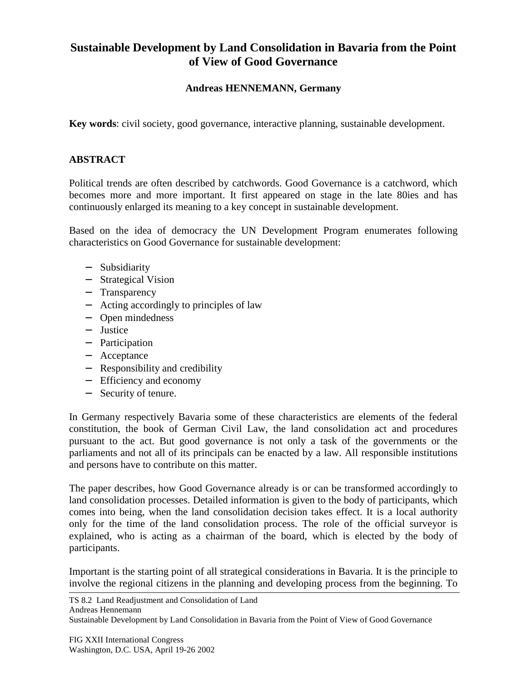## **Sustainable Development by Land Consolidation in Bavaria from the Point of View of Good Governance**

## **Andreas HENNEMANN, Germany**

**Key words**: civil society, good governance, interactive planning, sustainable development.

## **ABSTRACT**

Political trends are often described by catchwords. Good Governance is a catchword, which becomes more and more important. It first appeared on stage in the late 80ies and has continuously enlarged its meaning to a key concept in sustainable development.

Based on the idea of democracy the UN Development Program enumerates following characteristics on Good Governance for sustainable development:

- − Subsidiarity
- − Strategical Vision
- − Transparency
- − Acting accordingly to principles of law
- − Open mindedness
- − Justice
- − Participation
- − Acceptance
- − Responsibility and credibility
- − Efficiency and economy
- − Security of tenure.

In Germany respectively Bavaria some of these characteristics are elements of the federal constitution, the book of German Civil Law, the land consolidation act and procedures pursuant to the act. But good governance is not only a task of the governments or the parliaments and not all of its principals can be enacted by a law. All responsible institutions and persons have to contribute on this matter.

The paper describes, how Good Governance already is or can be transformed accordingly to land consolidation processes. Detailed information is given to the body of participants, which comes into being, when the land consolidation decision takes effect. It is a local authority only for the time of the land consolidation process. The role of the official surveyor is explained, who is acting as a chairman of the board, which is elected by the body of participants.

Important is the starting point of all strategical considerations in Bavaria. It is the principle to involve the regional citizens in the planning and developing process from the beginning. To

TS 8.2 Land Readjustment and Consolidation of Land

Andreas Hennemann

Sustainable Development by Land Consolidation in Bavaria from the Point of View of Good Governance